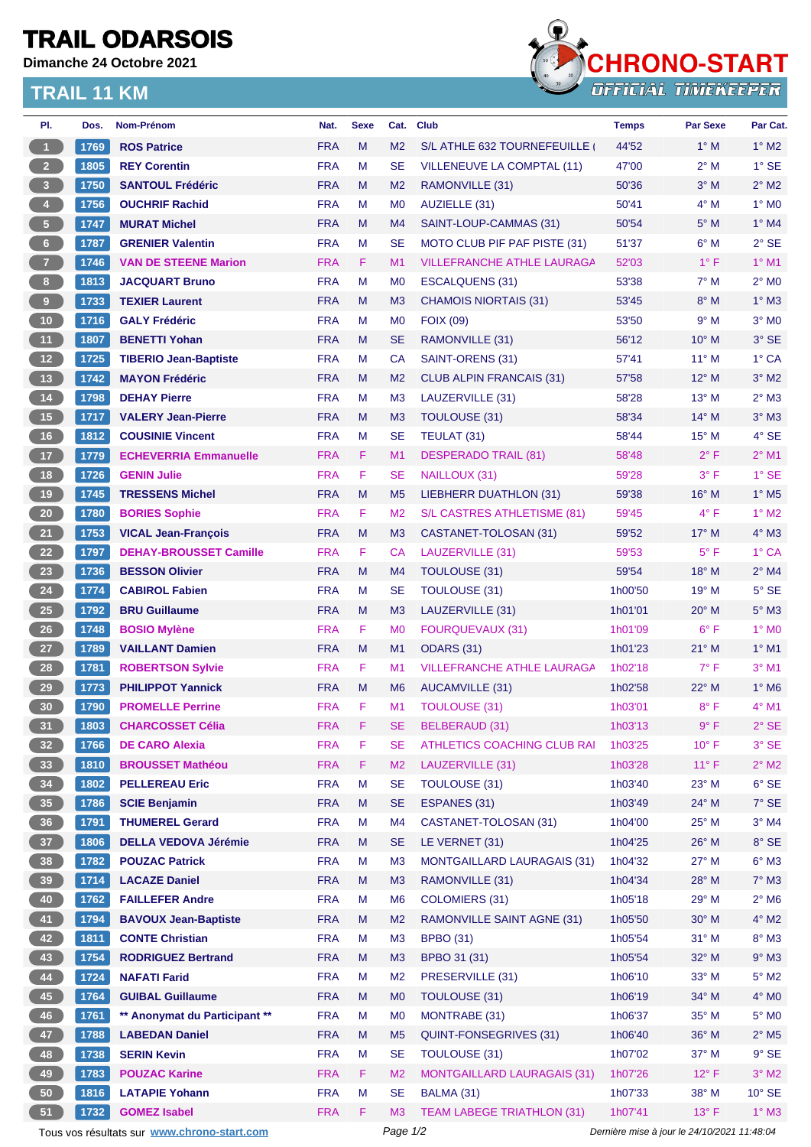## **TRAIL ODARSOIS**

**Dimanche 24 Octobre 2021**

## **TRAIL 11 KM**



| PI.                     | Dos. | Nom-Prénom                                  | Nat.       | <b>Sexe</b> | Cat.           | <b>Club</b>                        | <b>Temps</b>                                | <b>Par Sexe</b> | Par Cat.                   |  |
|-------------------------|------|---------------------------------------------|------------|-------------|----------------|------------------------------------|---------------------------------------------|-----------------|----------------------------|--|
| $\blacksquare$          | 1769 | <b>ROS Patrice</b>                          | <b>FRA</b> | M           | M <sub>2</sub> | S/L ATHLE 632 TOURNEFEUILLE        | 44'52                                       | $1^\circ$ M     | $1^\circ$ M2               |  |
| 2 <sup>7</sup>          | 1805 | <b>REY Corentin</b>                         | <b>FRA</b> | М           | <b>SE</b>      | <b>VILLENEUVE LA COMPTAL (11)</b>  | 47'00                                       | $2^{\circ}$ M   | $1^\circ$ SE               |  |
| $\overline{\mathbf{3}}$ | 1750 | <b>SANTOUL Frédéric</b>                     | <b>FRA</b> | M           | M <sub>2</sub> | RAMONVILLE (31)                    | 50'36                                       | $3^\circ$ M     | $2^{\circ}$ M2             |  |
| $\overline{4}$          | 1756 | <b>OUCHRIF Rachid</b>                       | <b>FRA</b> | M           | M <sub>0</sub> | AUZIELLE (31)                      | 50'41                                       | $4^\circ$ M     | $1^\circ$ MO               |  |
| $\sqrt{5}$              | 1747 | <b>MURAT Michel</b>                         | <b>FRA</b> | M           | M4             | SAINT-LOUP-CAMMAS (31)             | 50'54                                       | $5^\circ$ M     | $1^\circ$ M4               |  |
| 6 <sup>1</sup>          | 1787 | <b>GRENIER Valentin</b>                     | <b>FRA</b> | M           | <b>SE</b>      | MOTO CLUB PIF PAF PISTE (31)       | 51'37                                       | $6^\circ$ M     | $2°$ SE                    |  |
| 7 <sup>2</sup>          | 1746 | <b>VAN DE STEENE Marion</b>                 | <b>FRA</b> | F.          | M1             | <b>VILLEFRANCHE ATHLE LAURAGA</b>  | 52'03                                       | $1^{\circ}$ F   | $1°$ M1                    |  |
| 8 <sub>1</sub>          | 1813 | <b>JACQUART Bruno</b>                       | <b>FRA</b> | M           | M <sub>0</sub> | <b>ESCALQUENS (31)</b>             | 53'38                                       | $7^\circ$ M     | $2^{\circ}$ MO             |  |
| $\boldsymbol{9}$        | 1733 | <b>TEXIER Laurent</b>                       | <b>FRA</b> | M           | M <sub>3</sub> | <b>CHAMOIS NIORTAIS (31)</b>       | 53'45                                       | $8^\circ$ M     | $1^\circ$ M3               |  |
| 10                      | 1716 | <b>GALY Frédéric</b>                        | <b>FRA</b> | M           | M <sub>0</sub> | <b>FOIX (09)</b>                   | 53'50                                       | 9° M            | $3°$ MO                    |  |
| 11                      | 1807 | <b>BENETTI Yohan</b>                        | <b>FRA</b> | M           | <b>SE</b>      | RAMONVILLE (31)                    | 56'12                                       | $10^{\circ}$ M  | 3° SE                      |  |
| $12$                    | 1725 | <b>TIBERIO Jean-Baptiste</b>                | <b>FRA</b> | M           | <b>CA</b>      | SAINT-ORENS (31)                   | 57'41                                       | $11^{\circ}$ M  | 1° CA                      |  |
| 13                      | 1742 | <b>MAYON Frédéric</b>                       | <b>FRA</b> | M           | M <sub>2</sub> | <b>CLUB ALPIN FRANCAIS (31)</b>    | 57'58                                       | $12^{\circ}$ M  | $3°$ M2                    |  |
| $14$                    | 1798 | <b>DEHAY Pierre</b>                         | <b>FRA</b> | М           | M <sub>3</sub> | LAUZERVILLE (31)                   | 58'28                                       | $13^{\circ}$ M  | $2^{\circ}$ M3             |  |
| 15                      | 1717 | <b>VALERY Jean-Pierre</b>                   | <b>FRA</b> | M           | M <sub>3</sub> | <b>TOULOUSE (31)</b>               | 58'34                                       | $14^{\circ}$ M  | $3°$ M $3$                 |  |
| 16                      | 1812 | <b>COUSINIE Vincent</b>                     | <b>FRA</b> | м           | <b>SE</b>      | TEULAT (31)                        | 58'44                                       | $15^{\circ}$ M  | $4^\circ$ SE               |  |
| $17$                    | 1779 | <b>ECHEVERRIA Emmanuelle</b>                | <b>FRA</b> | F.          | M1             | <b>DESPERADO TRAIL (81)</b>        | 58'48                                       | $2^{\circ}$ F   | $2^{\circ}$ M1             |  |
| 18                      | 1726 | <b>GENIN Julie</b>                          | <b>FRA</b> | F           | <b>SE</b>      | NAILLOUX (31)                      | 59'28                                       | $3^{\circ}$ F   | 1° SE                      |  |
| 19                      | 1745 | <b>TRESSENS Michel</b>                      | <b>FRA</b> | M           | M <sub>5</sub> | <b>LIEBHERR DUATHLON (31)</b>      | 59'38                                       | $16^{\circ}$ M  | $1^\circ$ M <sub>5</sub>   |  |
| $20\,$                  | 1780 | <b>BORIES Sophie</b>                        | <b>FRA</b> | F           | M <sub>2</sub> | S/L CASTRES ATHLETISME (81)        | 59'45                                       | $4^{\circ}$ F   | $1^\circ$ M2               |  |
| 21                      | 1753 | <b>VICAL Jean-François</b>                  | <b>FRA</b> | M           | M3             | CASTANET-TOLOSAN (31)              | 59'52                                       | $17^{\circ}$ M  | 4° M3                      |  |
| 22                      | 1797 | <b>DEHAY-BROUSSET Camille</b>               | <b>FRA</b> | F           | CA             | LAUZERVILLE (31)                   | 59'53                                       | $5^{\circ}$ F   | 1° CA                      |  |
| 23                      | 1736 | <b>BESSON Olivier</b>                       | <b>FRA</b> | M           | M4             | <b>TOULOUSE (31)</b>               | 59'54                                       | $18^{\circ}$ M  | $2^{\circ}$ M4             |  |
| 24                      | 1774 | <b>CABIROL Fabien</b>                       | <b>FRA</b> | М           | <b>SE</b>      | <b>TOULOUSE (31)</b>               | 1h00'50                                     | 19° M           | $5^\circ$ SE               |  |
| $25\,$                  | 1792 | <b>BRU Guillaume</b>                        | <b>FRA</b> | M           | M <sub>3</sub> | LAUZERVILLE (31)                   | 1h01'01                                     | $20^{\circ}$ M  | $5^\circ$ M3               |  |
| 26                      | 1748 | <b>BOSIO Mylène</b>                         | <b>FRA</b> | F           | M <sub>0</sub> | <b>FOURQUEVAUX (31)</b>            | 1h01'09                                     | $6^{\circ}$ F   | 1° MO                      |  |
| 27                      | 1789 | <b>VAILLANT Damien</b>                      | <b>FRA</b> | M           | M1             | <b>ODARS (31)</b>                  | 1h01'23                                     | $21°$ M         | $1^\circ$ M1               |  |
| 28                      | 1781 | <b>ROBERTSON Sylvie</b>                     | <b>FRA</b> | F.          | M1             | <b>VILLEFRANCHE ATHLE LAURAGA</b>  | 1h02'18                                     | $7^\circ$ F     | $3°$ M1                    |  |
| 29                      | 1773 | <b>PHILIPPOT Yannick</b>                    | <b>FRA</b> | M           | M <sub>6</sub> | <b>AUCAMVILLE (31)</b>             | 1h02'58                                     | $22^{\circ}$ M  | $1^\circ$ M6               |  |
| 30                      | 1790 | <b>PROMELLE Perrine</b>                     | <b>FRA</b> | F           | M1             | <b>TOULOUSE (31)</b>               | 1h03'01                                     | $8^{\circ}$ F   | 4° M1                      |  |
| 31                      | 1803 | <b>CHARCOSSET Célia</b>                     | <b>FRA</b> | F           | $\mathsf{SE}$  | <b>BELBERAUD (31)</b>              | 1h03'13                                     | 9° F            | $2^{\circ}$ SE             |  |
| 32 <sub>2</sub>         | 1766 | <b>DE CARO Alexia</b>                       | <b>FRA</b> | F.          | SE             | ATHLETICS COACHING CLUB RAI        | 1h03'25                                     | $10^{\circ}$ F  | 3° SE                      |  |
| 33                      | 1810 | <b>BROUSSET Mathéou</b>                     | <b>FRA</b> | F           | M <sub>2</sub> | LAUZERVILLE (31)                   | 1h03'28                                     | $11^{\circ}$ F  | $2^{\circ}$ M2             |  |
| 34                      | 1802 | <b>PELLEREAU Eric</b>                       | <b>FRA</b> | М           | <b>SE</b>      | <b>TOULOUSE (31)</b>               | 1h03'40                                     | 23° M           | $6^{\circ}$ SE             |  |
| 35 <sub>o</sub>         | 1786 | <b>SCIE Benjamin</b>                        | <b>FRA</b> | M           | <b>SE</b>      | ESPANES (31)                       | 1h03'49                                     | $24^{\circ}$ M  | 7° SE                      |  |
| 36 <sup>°</sup>         | 1791 | <b>THUMEREL Gerard</b>                      | <b>FRA</b> | M           | M4             | CASTANET-TOLOSAN (31)              | 1h04'00                                     | $25^{\circ}$ M  | $3^\circ$ M4               |  |
| 37 <sup>°</sup>         | 1806 | <b>DELLA VEDOVA Jérémie</b>                 | <b>FRA</b> | M           | <b>SE</b>      | LE VERNET (31)                     | 1h04'25                                     | $26^{\circ}$ M  | 8° SE                      |  |
| 38                      | 1782 | <b>POUZAC Patrick</b>                       | <b>FRA</b> | М           | M <sub>3</sub> | <b>MONTGAILLARD LAURAGAIS (31)</b> | 1h04'32                                     | $27^\circ$ M    | $6^\circ$ M3               |  |
| 39                      | 1714 | <b>LACAZE Daniel</b>                        | <b>FRA</b> | M           | M <sub>3</sub> | RAMONVILLE (31)                    | 1h04'34                                     | 28° M           | $7^\circ$ M3               |  |
| 40                      | 1762 | <b>FAILLEFER Andre</b>                      | <b>FRA</b> | М           | M <sub>6</sub> | <b>COLOMIERS (31)</b>              | 1h05'18                                     | $29^\circ$ M    | $2^{\circ}$ M6             |  |
| 41                      | 1794 | <b>BAVOUX Jean-Baptiste</b>                 | <b>FRA</b> | M           | M <sub>2</sub> | RAMONVILLE SAINT AGNE (31)         | 1h05'50                                     | $30^\circ$ M    | $4^\circ$ M2               |  |
| 42                      | 1811 | <b>CONTE Christian</b>                      | <b>FRA</b> | М           | M <sub>3</sub> | <b>BPBO (31)</b>                   | 1h05'54                                     | $31^\circ$ M    | $8^\circ$ M3               |  |
|                         |      |                                             |            |             |                |                                    |                                             |                 |                            |  |
| 43                      | 1754 | <b>RODRIGUEZ Bertrand</b>                   | <b>FRA</b> | M           | M3             | BPBO 31 (31)                       | 1h05'54                                     | 32° M           | $9°$ M3                    |  |
| 44                      | 1724 | <b>NAFATI Farid</b>                         | <b>FRA</b> | M           | M <sub>2</sub> | PRESERVILLE (31)                   | 1h06'10                                     | $33^\circ$ M    | $5^\circ$ M2               |  |
| 45                      | 1764 | <b>GUIBAL Guillaume</b>                     | <b>FRA</b> | M           | M <sub>0</sub> | <b>TOULOUSE (31)</b>               | 1h06'19                                     | 34° M           | $4^\circ$ MO               |  |
| 46                      | 1761 | ** Anonymat du Participant **               | <b>FRA</b> | M           | M <sub>0</sub> | MONTRABE (31)                      | 1h06'37                                     | 35° M           | $5^\circ$ MO               |  |
| 47                      | 1788 | <b>LABEDAN Daniel</b>                       | <b>FRA</b> | M           | M <sub>5</sub> | QUINT-FONSEGRIVES (31)             | 1h06'40                                     | 36° M           | $2^{\circ}$ M <sub>5</sub> |  |
| 48                      | 1738 | <b>SERIN Kevin</b>                          | <b>FRA</b> | M           | <b>SE</b>      | TOULOUSE (31)                      | 1h07'02                                     | 37° M           | $9°$ SE                    |  |
| 49                      | 1783 | <b>POUZAC Karine</b>                        | <b>FRA</b> | F.          | M <sub>2</sub> | <b>MONTGAILLARD LAURAGAIS (31)</b> | 1h07'26                                     | $12^{\circ}$ F  | $3°$ M2                    |  |
| 50                      | 1816 | <b>LATAPIE Yohann</b>                       | <b>FRA</b> | M           | <b>SE</b>      | BALMA (31)                         | 1h07'33                                     | 38° M           | $10^{\circ}$ SE            |  |
| 51                      | 1732 | <b>GOMEZ Isabel</b>                         | <b>FRA</b> | F.          | M <sub>3</sub> | <b>TEAM LABEGE TRIATHLON (31)</b>  | 1h07'41                                     | $13^{\circ}$ F  | $1^\circ$ M3               |  |
|                         |      | Tous vos résultats sur www.chrono-start.com |            | Page 1/2    |                |                                    | Dernière mise à jour le 24/10/2021 11:48:04 |                 |                            |  |